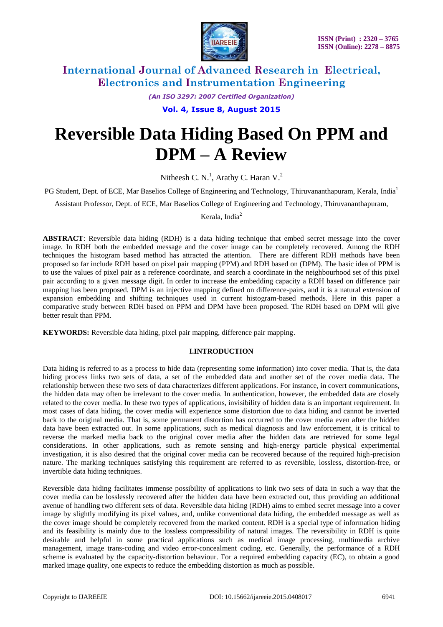

*(An ISO 3297: 2007 Certified Organization)*

**Vol. 4, Issue 8, August 2015**

# **Reversible Data Hiding Based On PPM and DPM – A Review**

Nitheesh C. N.<sup>1</sup>, Arathy C. Haran V.<sup>2</sup>

PG Student, Dept. of ECE, Mar Baselios College of Engineering and Technology, Thiruvananthapuram, Kerala, India<sup>1</sup>

Assistant Professor, Dept. of ECE, Mar Baselios College of Engineering and Technology, Thiruvananthapuram,

Kerala, India<sup>2</sup>

**ABSTRACT**: Reversible data hiding (RDH) is a data hiding technique that embed secret message into the cover image. In RDH both the embedded message and the cover image can be completely recovered. Among the RDH techniques the histogram based method has attracted the attention. There are different RDH methods have been proposed so far include RDH based on pixel pair mapping (PPM) and RDH based on (DPM). The basic idea of PPM is to use the values of pixel pair as a reference coordinate, and search a coordinate in the neighbourhood set of this pixel pair according to a given message digit. In order to increase the embedding capacity a RDH based on difference pair mapping has been proposed. DPM is an injective mapping defined on difference-pairs, and it is a natural extension of expansion embedding and shifting techniques used in current histogram-based methods. Here in this paper a comparative study between RDH based on PPM and DPM have been proposed. The RDH based on DPM will give better result than PPM.

**KEYWORDS:** Reversible data hiding, pixel pair mapping, difference pair mapping.

### **I.INTRODUCTION**

Data hiding is referred to as a process to hide data (representing some information) into cover media. That is, the data hiding process links two sets of data, a set of the embedded data and another set of the cover media data. The relationship between these two sets of data characterizes different applications. For instance, in covert communications, the hidden data may often be irrelevant to the cover media. In authentication, however, the embedded data are closely related to the cover media. In these two types of applications, invisibility of hidden data is an important requirement. In most cases of data hiding, the cover media will experience some distortion due to data hiding and cannot be inverted back to the original media. That is, some permanent distortion has occurred to the cover media even after the hidden data have been extracted out. In some applications, such as medical diagnosis and law enforcement, it is critical to reverse the marked media back to the original cover media after the hidden data are retrieved for some legal considerations. In other applications, such as remote sensing and high-energy particle physical experimental investigation, it is also desired that the original cover media can be recovered because of the required high-precision nature. The marking techniques satisfying this requirement are referred to as reversible, lossless, distortion-free, or invertible data hiding techniques.

Reversible data hiding facilitates immense possibility of applications to link two sets of data in such a way that the cover media can be losslessly recovered after the hidden data have been extracted out, thus providing an additional avenue of handling two different sets of data. Reversible data hiding (RDH) aims to embed secret message into a cover image by slightly modifying its pixel values, and, unlike conventional data hiding, the embedded message as well as the cover image should be completely recovered from the marked content. RDH is a special type of information hiding and its feasibility is mainly due to the lossless compressibility of natural images. The reversibility in RDH is quite desirable and helpful in some practical applications such as medical image processing, multimedia archive management, image trans-coding and video error-concealment coding, etc. Generally, the performance of a RDH scheme is evaluated by the capacity-distortion behaviour. For a required embedding capacity (EC), to obtain a good marked image quality, one expects to reduce the embedding distortion as much as possible.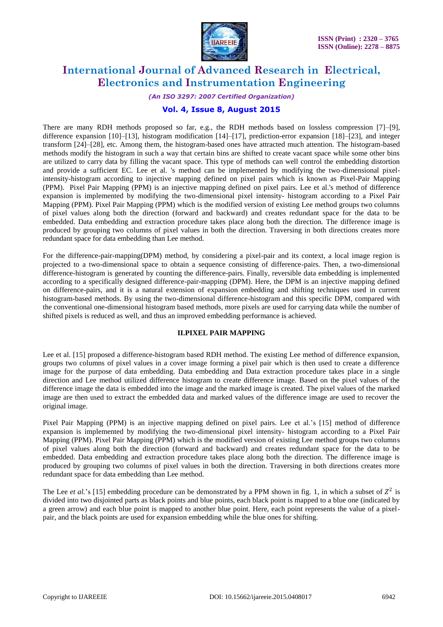

#### *(An ISO 3297: 2007 Certified Organization)*

### **Vol. 4, Issue 8, August 2015**

There are many RDH methods proposed so far, e.g., the RDH methods based on lossless compression [7]–[9], difference expansion [10]–[13], histogram modification [14]–[17], prediction-error expansion [18]–[23], and integer transform [24]–[28], etc. Among them, the histogram-based ones have attracted much attention. The histogram-based methods modify the histogram in such a way that certain bins are shifted to create vacant space while some other bins are utilized to carry data by filling the vacant space. This type of methods can well control the embedding distortion and provide a sufficient EC. Lee et al. 's method can be implemented by modifying the two-dimensional pixelintensity-histogram according to injective mapping defined on pixel pairs which is known as Pixel-Pair Mapping (PPM). Pixel Pair Mapping (PPM) is an injective mapping defined on pixel pairs. Lee et al.'s method of difference expansion is implemented by modifying the two-dimensional pixel intensity- histogram according to a Pixel Pair Mapping (PPM). Pixel Pair Mapping (PPM) which is the modified version of existing Lee method groups two columns of pixel values along both the direction (forward and backward) and creates redundant space for the data to be embedded. Data embedding and extraction procedure takes place along both the direction. The difference image is produced by grouping two columns of pixel values in both the direction. Traversing in both directions creates more redundant space for data embedding than Lee method.

For the difference-pair-mapping(DPM) method, by considering a pixel-pair and its context, a local image region is projected to a two-dimensional space to obtain a sequence consisting of difference-pairs. Then, a two-dimensional difference-histogram is generated by counting the difference-pairs. Finally, reversible data embedding is implemented according to a specifically designed difference-pair-mapping (DPM). Here, the DPM is an injective mapping defined on difference-pairs, and it is a natural extension of expansion embedding and shifting techniques used in current histogram-based methods. By using the two-dimensional difference-histogram and this specific DPM, compared with the conventional one-dimensional histogram based methods, more pixels are used for carrying data while the number of shifted pixels is reduced as well, and thus an improved embedding performance is achieved.

#### **II.PIXEL PAIR MAPPING**

Lee et al. [15] proposed a difference-histogram based RDH method. The existing Lee method of difference expansion, groups two columns of pixel values in a cover image forming a pixel pair which is then used to create a difference image for the purpose of data embedding. Data embedding and Data extraction procedure takes place in a single direction and Lee method utilized difference histogram to create difference image. Based on the pixel values of the difference image the data is embedded into the image and the marked image is created. The pixel values of the marked image are then used to extract the embedded data and marked values of the difference image are used to recover the original image.

Pixel Pair Mapping (PPM) is an injective mapping defined on pixel pairs. Lee et al.'s [15] method of difference expansion is implemented by modifying the two-dimensional pixel intensity- histogram according to a Pixel Pair Mapping (PPM). Pixel Pair Mapping (PPM) which is the modified version of existing Lee method groups two columns of pixel values along both the direction (forward and backward) and creates redundant space for the data to be embedded. Data embedding and extraction procedure takes place along both the direction. The difference image is produced by grouping two columns of pixel values in both the direction. Traversing in both directions creates more redundant space for data embedding than Lee method.

The Lee *et al.*'s [15] embedding procedure can be demonstrated by a PPM shown in fig. 1, in which a subset of  $Z^2$  is divided into two disjointed parts as black points and blue points, each black point is mapped to a blue one (indicated by a green arrow) and each blue point is mapped to another blue point. Here, each point represents the value of a pixelpair, and the black points are used for expansion embedding while the blue ones for shifting.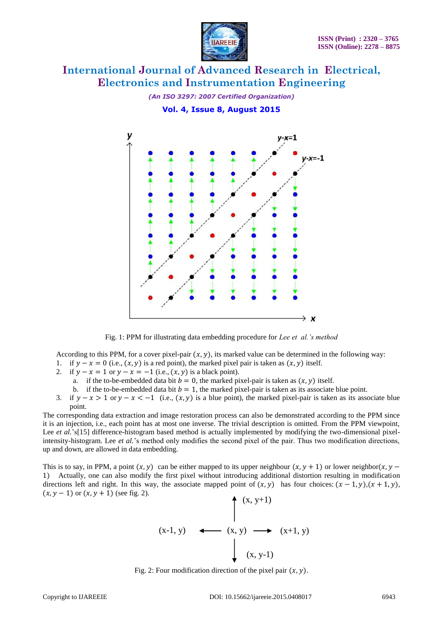



Fig. 1: PPM for illustrating data embedding procedure for *Lee et al.'s method*

According to this PPM, for a cover pixel-pair  $(x, y)$ , its marked value can be determined in the following way:

- 1. if  $y x = 0$  (i.e.,  $(x, y)$  is a red point), the marked pixel pair is taken as  $(x, y)$  itself.
- 2. if  $y x = 1$  or  $y x = -1$  (i.e.,  $(x, y)$  is a black point).
	- a. if the to-be-embedded data bit  $b = 0$ , the marked pixel-pair is taken as  $(x, y)$  itself.
	- b. if the to-be-embedded data bit  $b = 1$ , the marked pixel-pair is taken as its associate blue point.
- 3. if  $y x > 1$  or  $y x < -1$  (i.e.,  $(x, y)$  is a blue point), the marked pixel-pair is taken as its associate blue point.

The corresponding data extraction and image restoration process can also be demonstrated according to the PPM since it is an injection, i.e., each point has at most one inverse. The trivial description is omitted. From the PPM viewpoint, Lee *et al.*'s[15] difference-histogram based method is actually implemented by modifying the two-dimensional pixelintensity-histogram. Lee *et al.*'s method only modifies the second pixel of the pair. Thus two modification directions, up and down, are allowed in data embedding.

This is to say, in PPM, a point  $(x, y)$  can be either mapped to its upper neighbour  $(x, y + 1)$  or lower neighbor( $x, y -$ 1) Actually, one can also modify the first pixel without introducing additional distortion resulting in modification directions left and right. In this way, the associate mapped point of  $(x, y)$  has four choices:  $(x - 1, y)$ ,  $(x + 1, y)$ ,  $(x, y - 1)$  or  $(x, y + 1)$  (see fig. 2).

$$
(x-1, y) \leftarrow (x, y) \rightarrow (x+1, y)
$$
\n
$$
(x, y) \rightarrow (x+1, y)
$$
\n
$$
(x, y-1)
$$

Fig. 2: Four modification direction of the pixel pair  $(x, y)$ .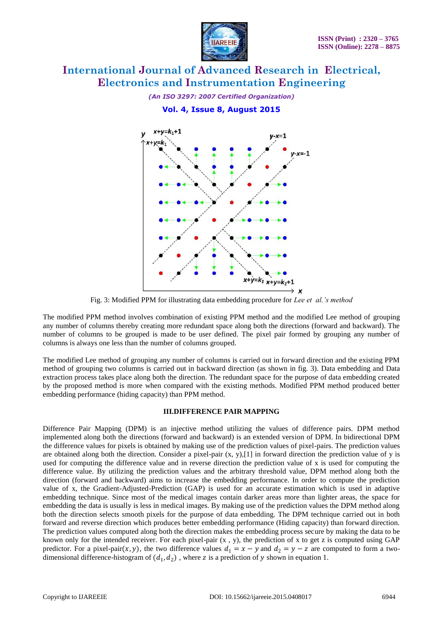





Fig. 3: Modified PPM for illustrating data embedding procedure for *Lee et al.'s method*

The modified PPM method involves combination of existing PPM method and the modified Lee method of grouping any number of columns thereby creating more redundant space along both the directions (forward and backward). The number of columns to be grouped is made to be user defined. The pixel pair formed by grouping any number of columns is always one less than the number of columns grouped.

The modified Lee method of grouping any number of columns is carried out in forward direction and the existing PPM method of grouping two columns is carried out in backward direction (as shown in fig. 3). Data embedding and Data extraction process takes place along both the direction. The redundant space for the purpose of data embedding created by the proposed method is more when compared with the existing methods. Modified PPM method produced better embedding performance (hiding capacity) than PPM method.

### **III.DIFFERENCE PAIR MAPPING**

Difference Pair Mapping (DPM) is an injective method utilizing the values of difference pairs. DPM method implemented along both the directions (forward and backward) is an extended version of DPM. In bidirectional DPM the difference values for pixels is obtained by making use of the prediction values of pixel-pairs. The prediction values are obtained along both the direction. Consider a pixel-pair  $(x, y)$ , [1] in forward direction the prediction value of y is used for computing the difference value and in reverse direction the prediction value of x is used for computing the difference value. By utilizing the prediction values and the arbitrary threshold value, DPM method along both the direction (forward and backward) aims to increase the embedding performance. In order to compute the prediction value of x, the Gradient-Adjusted-Prediction (GAP) is used for an accurate estimation which is used in adaptive embedding technique. Since most of the medical images contain darker areas more than lighter areas, the space for embedding the data is usually is less in medical images. By making use of the prediction values the DPM method along both the direction selects smooth pixels for the purpose of data embedding. The DPM technique carried out in both forward and reverse direction which produces better embedding performance (Hiding capacity) than forward direction. The prediction values computed along both the direction makes the embedding process secure by making the data to be known only for the intended receiver. For each pixel-pair (x , y), the prediction of x to get z is computed using GAP predictor. For a pixel-pair $(x, y)$ , the two difference values  $d_1 = x - y$  and  $d_2 = y - z$  are computed to form a twodimensional difference-histogram of  $(d_1, d_2)$ , where z is a prediction of y shown in equation 1.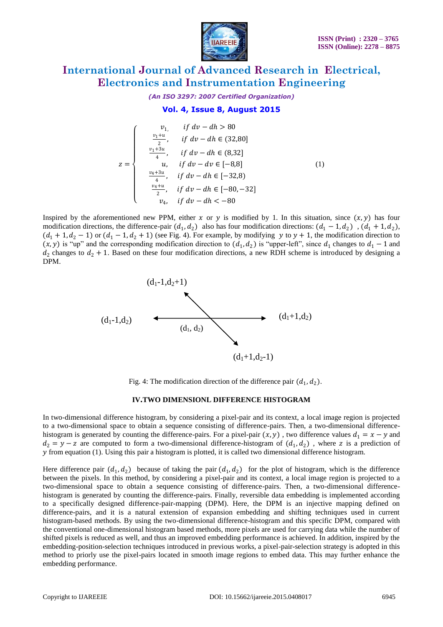

*(An ISO 3297: 2007 Certified Organization)*

### **Vol. 4, Issue 8, August 2015**

$$
z = \begin{cases} v_1, & if dv - dh > 80 \\ \frac{v_1 + u}{2}, & if dv - dh \in (32,80] \\ \frac{v_1 + 3u}{4}, & if dv - dh \in (8,32] \\ u, & if dv - dv \in [-8,8] \\ \frac{v_4 + 3u}{4}, & if dv - dh \in [-32,8) \\ \frac{v_4 + u}{2}, & if dv - dh \in [-80, -32] \\ v_4, & if dv - dh < -80 \end{cases}
$$
(1)

Inspired by the aforementioned new PPM, either x or y is modified by 1. In this situation, since  $(x, y)$  has four modification directions, the difference-pair  $(d_1, d_2)$  also has four modification directions:  $(d_1 - 1, d_2)$ ,  $(d_1 + 1, d_2)$ ,  $(d_1 + 1, d_2 - 1)$  or  $(d_1 - 1, d_2 + 1)$  (see Fig. 4). For example, by modifying y to  $y + 1$ , the modification direction to  $(x, y)$  is "up" and the corresponding modification direction to  $(d_1, d_2)$  is "upper-left", since  $d_1$  changes to  $d_1 - 1$  and  $d_2$  changes to  $d_2 + 1$ . Based on these four modification directions, a new RDH scheme is introduced by designing a DPM.



Fig. 4: The modification direction of the difference pair  $(d_1, d_2)$ .

#### **IV.TWO DIMENSIONL DIFFERENCE HISTOGRAM**

In two-dimensional difference histogram, by considering a pixel-pair and its context, a local image region is projected to a two-dimensional space to obtain a sequence consisting of difference-pairs. Then, a two-dimensional differencehistogram is generated by counting the difference-pairs. For a pixel-pair  $(x, y)$ , two difference values  $d_1 = x - y$  and  $d_2 = y - z$  are computed to form a two-dimensional difference-histogram of  $(d_1, d_2)$ , where z is a prediction of  $\gamma$  from equation (1). Using this pair a histogram is plotted, it is called two dimensional difference histogram.

Here difference pair  $(d_1, d_2)$  because of taking the pair  $(d_1, d_2)$  for the plot of histogram, which is the difference between the pixels. In this method, by considering a pixel-pair and its context, a local image region is projected to a two-dimensional space to obtain a sequence consisting of difference-pairs. Then, a two-dimensional differencehistogram is generated by counting the difference-pairs. Finally, reversible data embedding is implemented according to a specifically designed difference-pair-mapping (DPM). Here, the DPM is an injective mapping defined on difference-pairs, and it is a natural extension of expansion embedding and shifting techniques used in current histogram-based methods. By using the two-dimensional difference-histogram and this specific DPM, compared with the conventional one-dimensional histogram based methods, more pixels are used for carrying data while the number of shifted pixels is reduced as well, and thus an improved embedding performance is achieved. In addition, inspired by the embedding-position-selection techniques introduced in previous works, a pixel-pair-selection strategy is adopted in this method to priorly use the pixel-pairs located in smooth image regions to embed data. This may further enhance the embedding performance.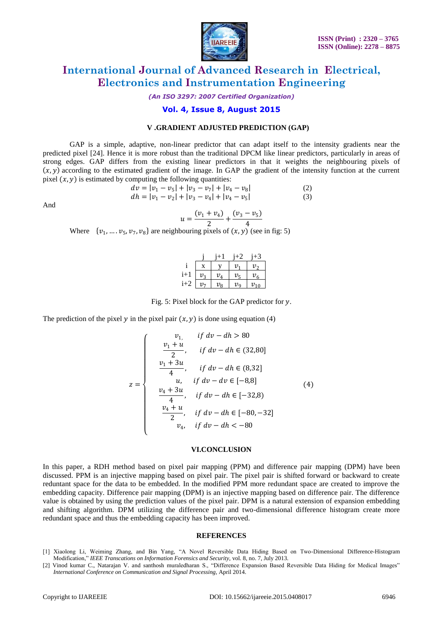

*(An ISO 3297: 2007 Certified Organization)*

### **Vol. 4, Issue 8, August 2015**

#### **V .GRADIENT ADJUSTED PREDICTION (GAP)**

GAP is a simple, adaptive, non-linear predictor that can adapt itself to the intensity gradients near the predicted pixel [24]. Hence it is more robust than the traditional DPCM like linear predictors, particularly in areas of strong edges. GAP differs from the existing linear predictors in that it weights the neighbouring pixels of  $(x, y)$  according to the estimated gradient of the image. In GAP the gradient of the intensity function at the current pixel  $(x, y)$  is estimated by computing the following quantities:

$$
dv = |v_1 - v_5| + |v_3 - v_7| + |v_4 - v_8|
$$
  
\n
$$
dh = |v_1 - v_2| + |v_3 - v_4| + |v_4 - v_5|
$$
\n(2)

And

$$
u = \frac{(v_1 + v_4)}{2} + \frac{(v_3 - v_5)}{4}
$$

Where  $\{v_1, \ldots, v_5, v_7, v_8\}$  are neighbouring pixels of  $(x, y)$  (see in fig: 5)

|     |            | $+1$                            | $+2$        | $+3$                               |
|-----|------------|---------------------------------|-------------|------------------------------------|
|     |            |                                 | $v_{1}$     | v <sub>2</sub>                     |
| i+1 | $v_{2}$    | $v_{\scriptscriptstyle\Lambda}$ | $v_{\rm r}$ | $v_{\scriptscriptstyle\mathsf{G}}$ |
| i+2 | $v_{\tau}$ | $v_{\rm o}$                     | $v_{\rm o}$ | $v_{10}$                           |

Fig. 5: Pixel block for the GAP predictor for  $\gamma$ .

The prediction of the pixel  $y$  in the pixel pair  $(x, y)$  is done using equation (4)

$$
z = \begin{cases}\n v_1, & \text{if } dv - dh > 80 \\
\frac{v_1 + u}{2}, & \text{if } dv - dh \in (32,80] \\
\frac{v_1 + 3u}{4}, & \text{if } dv - dh \in (8,32] \\
u, & \text{if } dv - dv \in [-8,8] \\
\frac{v_4 + 3u}{4}, & \text{if } dv - dh \in [-32,8) \\
\frac{v_4 + u}{2}, & \text{if } dv - dh \in [-80, -32] \\
v_4, & \text{if } dv - dh < -80\n \end{cases}\n \tag{4}
$$

#### **VI.CONCLUSION**

In this paper, a RDH method based on pixel pair mapping (PPM) and difference pair mapping (DPM) have been discussed. PPM is an injective mapping based on pixel pair. The pixel pair is shifted forward or backward to create reduntant space for the data to be embedded. In the modified PPM more redundant space are created to improve the embedding capacity. Difference pair mapping (DPM) is an injective mapping based on difference pair. The difference value is obtained by using the prediction values of the pixel pair. DPM is a natural extension of expansion embedding and shifting algorithm. DPM utilizing the difference pair and two-dimensional difference histogram create more redundant space and thus the embedding capacity has been improved.

#### **REFERENCES**

- [1] Xiaolong Li, Weiming Zhang, and Bin Yang, "A Novel Reversible Data Hiding Based on Two-Dimensional Difference-Histogram Modification," *IEEE Transcations on Information Forensics and Security, vol. 8, no. 7, July 2013.*
- [2] Vinod kumar C., Natarajan V. and santhosh muraledharan S., "Difference Expansion Based Reversible Data Hiding for Medical Images" *International Conference on Communication and Signal Processing,* April 2014.